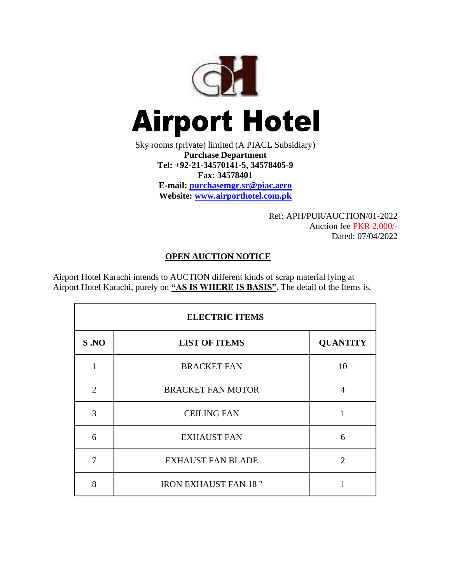

Sky rooms (private) limited (A PIACL Subsidiary) **Purchase Department Tel: +92-21-34570141-5, 34578405-9 Fax: 34578401 E-mail: [purchasemgr.sr@piac.aero](mailto:purchasemgr.sr@piac.aero) Website: www.airporthotel.com.pk**

> Ref: APH/PUR/AUCTION/01-2022 Auction fee PKR 2,000/- Dated: 07/04/2022

## **OPEN AUCTION NOTICE**

Airport Hotel Karachi intends to AUCTION different kinds of scrap material lying at Airport Hotel Karachi, purely on **"AS IS WHERE IS BASIS"**. The detail of the Items is.

| <b>ELECTRIC ITEMS</b> |                              |                 |  |  |
|-----------------------|------------------------------|-----------------|--|--|
| S.NO                  | <b>LIST OF ITEMS</b>         | <b>QUANTITY</b> |  |  |
| 1                     | <b>BRACKET FAN</b>           | 10              |  |  |
| $\overline{2}$        | <b>BRACKET FAN MOTOR</b>     | 4               |  |  |
| 3                     | <b>CEILING FAN</b>           | 1               |  |  |
| 6                     | <b>EXHAUST FAN</b>           | 6               |  |  |
| 7                     | <b>EXHAUST FAN BLADE</b>     | $\mathfrak{D}$  |  |  |
| 8                     | <b>IRON EXHAUST FAN 18 "</b> |                 |  |  |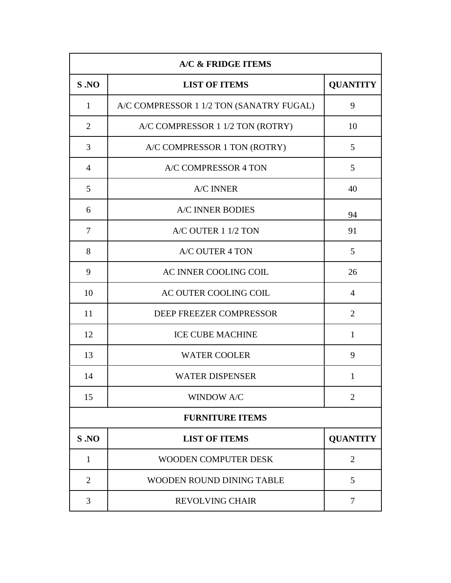| A/C & FRIDGE ITEMS     |                                          |                 |  |  |
|------------------------|------------------------------------------|-----------------|--|--|
| S.NO                   | <b>LIST OF ITEMS</b>                     | <b>QUANTITY</b> |  |  |
| $\mathbf{1}$           | A/C COMPRESSOR 1 1/2 TON (SANATRY FUGAL) | 9               |  |  |
| $\overline{2}$         | A/C COMPRESSOR 1 1/2 TON (ROTRY)         | 10              |  |  |
| 3                      | A/C COMPRESSOR 1 TON (ROTRY)             | 5               |  |  |
| $\overline{4}$         | A/C COMPRESSOR 4 TON                     | 5               |  |  |
| 5                      | <b>A/C INNER</b>                         | 40              |  |  |
| 6                      | <b>A/C INNER BODIES</b>                  | 94              |  |  |
| $\overline{7}$         | A/C OUTER 1 1/2 TON                      | 91              |  |  |
| 8                      | <b>A/C OUTER 4 TON</b>                   | 5               |  |  |
| 9                      | AC INNER COOLING COIL                    | 26              |  |  |
| 10                     | AC OUTER COOLING COIL                    | $\overline{4}$  |  |  |
| 11                     | DEEP FREEZER COMPRESSOR                  | $\overline{2}$  |  |  |
| 12                     | <b>ICE CUBE MACHINE</b>                  | $\mathbf{1}$    |  |  |
| 13                     | <b>WATER COOLER</b>                      | 9               |  |  |
| 14                     | <b>WATER DISPENSER</b>                   | 1               |  |  |
| 15                     | <b>WINDOW A/C</b>                        | $\overline{2}$  |  |  |
| <b>FURNITURE ITEMS</b> |                                          |                 |  |  |
| S.NO                   | <b>LIST OF ITEMS</b>                     | <b>QUANTITY</b> |  |  |
| $\mathbf{1}$           | <b>WOODEN COMPUTER DESK</b>              | $\overline{2}$  |  |  |
| $\overline{2}$         | WOODEN ROUND DINING TABLE                | 5               |  |  |
| 3                      | <b>REVOLVING CHAIR</b>                   | 7               |  |  |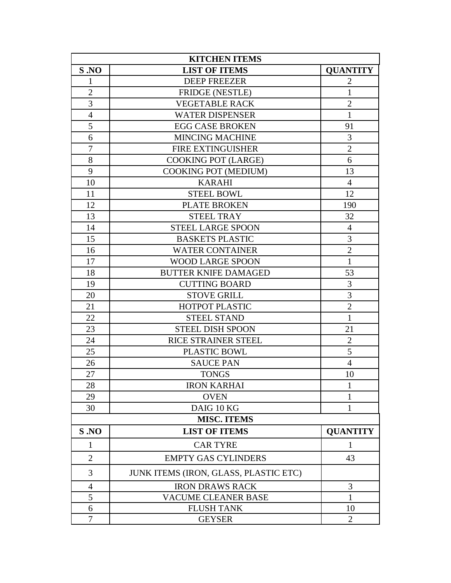| <b>KITCHEN ITEMS</b> |                                       |                 |  |  |
|----------------------|---------------------------------------|-----------------|--|--|
| S.NO                 | <b>LIST OF ITEMS</b>                  | <b>QUANTITY</b> |  |  |
| $\mathbf{1}$         | <b>DEEP FREEZER</b>                   | $\overline{2}$  |  |  |
| $\overline{2}$       | <b>FRIDGE (NESTLE)</b>                | $\mathbf{1}$    |  |  |
| 3                    | <b>VEGETABLE RACK</b>                 | $\overline{2}$  |  |  |
| $\overline{4}$       | <b>WATER DISPENSER</b>                | $\mathbf{1}$    |  |  |
| 5                    | <b>EGG CASE BROKEN</b>                | 91              |  |  |
| 6                    | <b>MINCING MACHINE</b>                | 3               |  |  |
| $\boldsymbol{7}$     | <b>FIRE EXTINGUISHER</b>              | $\sqrt{2}$      |  |  |
| 8                    | <b>COOKING POT (LARGE)</b>            | 6               |  |  |
| 9                    | COOKING POT (MEDIUM)                  | 13              |  |  |
| 10                   | <b>KARAHI</b>                         | $\overline{4}$  |  |  |
| 11                   | <b>STEEL BOWL</b>                     | 12              |  |  |
| 12                   | <b>PLATE BROKEN</b>                   | 190             |  |  |
| 13                   | <b>STEEL TRAY</b>                     | 32              |  |  |
| 14                   | <b>STEEL LARGE SPOON</b>              | $\overline{4}$  |  |  |
| 15                   | <b>BASKETS PLASTIC</b>                | 3               |  |  |
| 16                   | <b>WATER CONTAINER</b>                | $\overline{2}$  |  |  |
| 17                   | <b>WOOD LARGE SPOON</b>               | $\mathbf{1}$    |  |  |
| 18                   | <b>BUTTER KNIFE DAMAGED</b>           | 53              |  |  |
| 19                   | <b>CUTTING BOARD</b>                  | 3               |  |  |
| 20                   | <b>STOVE GRILL</b>                    | 3               |  |  |
| 21                   | <b>HOTPOT PLASTIC</b>                 | $\overline{2}$  |  |  |
| 22                   | <b>STEEL STAND</b>                    | $\mathbf{1}$    |  |  |
| 23                   | <b>STEEL DISH SPOON</b>               | 21              |  |  |
| 24                   | RICE STRAINER STEEL                   | $\overline{2}$  |  |  |
| 25                   | PLASTIC BOWL                          | 5               |  |  |
| 26                   | <b>SAUCE PAN</b>                      | $\overline{4}$  |  |  |
| 27                   | <b>TONGS</b>                          | 10              |  |  |
| 28                   | <b>IRON KARHAI</b>                    | 1               |  |  |
| 29                   | <b>OVEN</b>                           | 1               |  |  |
| 30                   | DAIG 10 KG                            | 1               |  |  |
|                      | <b>MISC. ITEMS</b>                    |                 |  |  |
| S.NO                 | <b>LIST OF ITEMS</b>                  | <b>QUANTITY</b> |  |  |
| 1                    | <b>CAR TYRE</b>                       | 1               |  |  |
| $\overline{2}$       | <b>EMPTY GAS CYLINDERS</b>            | 43              |  |  |
| 3                    | JUNK ITEMS (IRON, GLASS, PLASTIC ETC) |                 |  |  |
| 4                    | <b>IRON DRAWS RACK</b>                | 3               |  |  |
| 5                    | <b>VACUME CLEANER BASE</b>            | 1               |  |  |
| 6                    | <b>FLUSH TANK</b>                     | 10              |  |  |
| 7                    | <b>GEYSER</b>                         | $\overline{2}$  |  |  |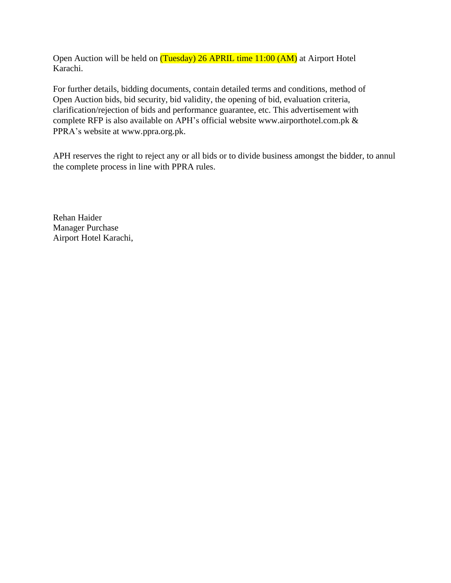Open Auction will be held on (Tuesday) 26 APRIL time 11:00 (AM) at Airport Hotel Karachi.

For further details, bidding documents, contain detailed terms and conditions, method of Open Auction bids, bid security, bid validity, the opening of bid, evaluation criteria, clarification/rejection of bids and performance guarantee, etc. This advertisement with complete RFP is also available on APH's official website www.airporthotel.com.pk & PPRA's website at [www.ppra.org.pk.](http://www.ppra.org.pk/)

APH reserves the right to reject any or all bids or to divide business amongst the bidder, to annul the complete process in line with PPRA rules.

Rehan Haider Manager Purchase Airport Hotel Karachi,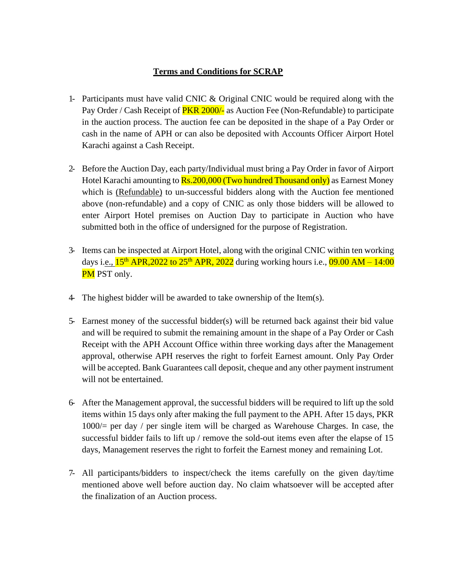## **Terms and Conditions for SCRAP**

- 1- Participants must have valid CNIC & Original CNIC would be required along with the Pay Order / Cash Receipt of **PKR 2000/-** as Auction Fee (Non-Refundable) to participate in the auction process. The auction fee can be deposited in the shape of a Pay Order or cash in the name of APH or can also be deposited with Accounts Officer Airport Hotel Karachi against a Cash Receipt.
- 2- Before the Auction Day, each party/Individual must bring a Pay Order in favor of Airport Hotel Karachi amounting to **Rs.200,000 (Two hundred Thousand only)** as Earnest Money which is (Refundable) to un-successful bidders along with the Auction fee mentioned above (non-refundable) and a copy of CNIC as only those bidders will be allowed to enter Airport Hotel premises on Auction Day to participate in Auction who have submitted both in the office of undersigned for the purpose of Registration.
- 3- Items can be inspected at Airport Hotel, along with the original CNIC within ten working days i.e.,  $15^{th}$  APR,  $2022$  to  $25^{th}$  APR,  $2022$  during working hours i.e.,  $09.00$  AM –  $14:00$ **PM** PST only.
- 4- The highest bidder will be awarded to take ownership of the Item(s).
- 5- Earnest money of the successful bidder(s) will be returned back against their bid value and will be required to submit the remaining amount in the shape of a Pay Order or Cash Receipt with the APH Account Office within three working days after the Management approval, otherwise APH reserves the right to forfeit Earnest amount. Only Pay Order will be accepted. Bank Guarantees call deposit, cheque and any other payment instrument will not be entertained.
- 6- After the Management approval, the successful bidders will be required to lift up the sold items within 15 days only after making the full payment to the APH. After 15 days, PKR 1000/= per day / per single item will be charged as Warehouse Charges. In case, the successful bidder fails to lift up / remove the sold-out items even after the elapse of 15 days, Management reserves the right to forfeit the Earnest money and remaining Lot.
- 7- All participants/bidders to inspect/check the items carefully on the given day/time mentioned above well before auction day. No claim whatsoever will be accepted after the finalization of an Auction process.